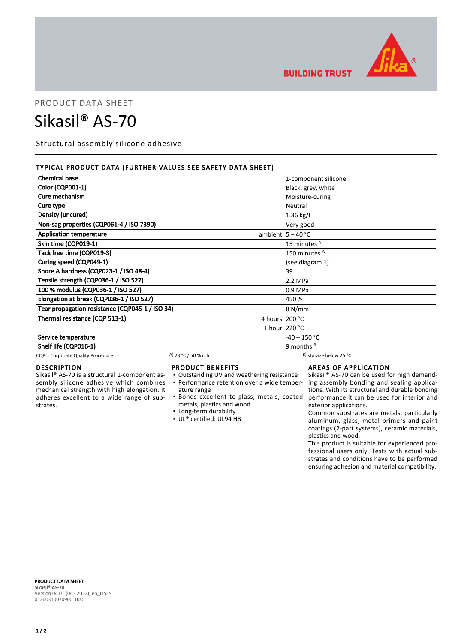

**BUILDING TRUST** 

## PRODUCT DATA SHEET

# Sikasil® AS-70

Structural assembly silicone adhesive

### TYPICAL PRODUCT DATA (FURTHER VALUES SEE SAFETY DATA SHEET)

| <b>Chemical base</b>                            |                       | 1-component silicone         |
|-------------------------------------------------|-----------------------|------------------------------|
| Color (CQP001-1)                                |                       | Black, grey, white           |
| Cure mechanism                                  |                       | Moisture-curing              |
| Cure type                                       |                       | Neutral                      |
| Density (uncured)                               |                       | 1.36 kg/l                    |
| Non-sag properties (CQP061-4 / ISO 7390)        |                       | Very good                    |
| <b>Application temperature</b>                  |                       | ambient $5 - 40$ °C          |
| Skin time (CQP019-1)                            |                       | 15 minutes <sup>A</sup>      |
| Tack free time (CQP019-3)                       |                       | 150 minutes <sup>A</sup>     |
| Curing speed (CQP049-1)                         |                       | (see diagram 1)              |
| Shore A hardness (CQP023-1 / ISO 48-4)          |                       | 39                           |
| Tensile strength (CQP036-1 / ISO 527)           |                       | 2.2 MPa                      |
| 100 % modulus (CQP036-1 / ISO 527)              |                       | 0.9 MPa                      |
| Elongation at break (CQP036-1 / ISO 527)        |                       | 450 %                        |
| Tear propagation resistance (CQP045-1 / ISO 34) |                       | 8 N/mm                       |
| Thermal resistance (CQP 513-1)                  |                       | 4 hours $200 °C$             |
|                                                 |                       | 1 hour $220 °C$              |
| Service temperature                             |                       | $-40 - 150 °C$               |
| Shelf life (CQP016-1)                           |                       | 9 months $B$                 |
| CQP = Corporate Quality Procedure               | A) 23 °C / 50 % r. h. | $^{B}$ ) storage below 25 °C |

### DESCRIPTION

Sikasil® AS-70 is a structural 1-component assembly silicone adhesive which combines mechanical strength with high elongation. It adheres excellent to a wide range of substrates.

### PRODUCT BENEFITS

- Outstanding UV and weathering resistance
- Performance retention over a wide temper-▪ ature range
- metals, plastics and wood
- **Example 1** Long-term durability
- UL® certified: UL94 HB

### AREAS OF APPLICATION

Bonds excellent to glass, metals, coated ▪ performance it can be used for interior and Sikasil® AS-70 can be used for high demanding assembly bonding and sealing applications. With its structural and durable bonding exterior applications.

Common substrates are metals, particularly aluminum, glass, metal primers and paint coatings (2-part systems), ceramic materials, plastics and wood.

This product is suitable for experienced professional users only. Tests with actual substrates and conditions have to be performed ensuring adhesion and material compatibility.